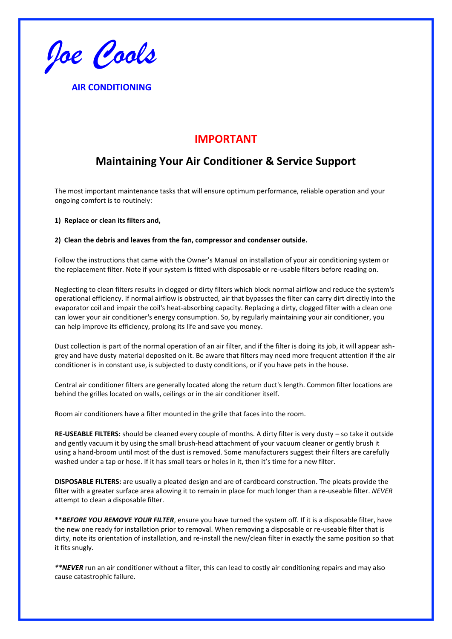*Joe Cools*

**AIR CONDITIONING** 

# **IMPORTANT**

# **Maintaining Your Air Conditioner & Service Support**

The most important maintenance tasks that will ensure optimum performance, reliable operation and your ongoing comfort is to routinely:

**1) Replace or clean its filters and,** 

### **2) Clean the debris and leaves from the fan, compressor and condenser outside.**

Follow the instructions that came with the Owner's Manual on installation of your air conditioning system or the replacement filter. Note if your system is fitted with disposable or re-usable filters before reading on.

Neglecting to clean filters results in clogged or dirty filters which block normal airflow and reduce the system's operational efficiency. If normal airflow is obstructed, air that bypasses the filter can carry dirt directly into the evaporator coil and impair the coil's heat-absorbing capacity. Replacing a dirty, clogged filter with a clean one can lower your air conditioner's energy consumption. So, by regularly maintaining your air conditioner, you can help improve its efficiency, prolong its life and save you money.

Dust collection is part of the normal operation of an air filter, and if the filter is doing its job, it will appear ashgrey and have dusty material deposited on it. Be aware that filters may need more frequent attention if the air conditioner is in constant use, is subjected to dusty conditions, or if you have pets in the house.

Central air conditioner filters are generally located along the return duct's length. Common filter locations are behind the grilles located on walls, ceilings or in the air conditioner itself.

Room air conditioners have a filter mounted in the grille that faces into the room.

**RE-USEABLE FILTERS:** should be cleaned every couple of months. A dirty filter is very dusty – so take it outside and gently vacuum it by using the small brush-head attachment of your vacuum cleaner or gently brush it using a hand-broom until most of the dust is removed. Some manufacturers suggest their filters are carefully washed under a tap or hose. If it has small tears or holes in it, then it's time for a new filter.

**DISPOSABLE FILTERS:** are usually a pleated design and are of cardboard construction. The pleats provide the filter with a greater surface area allowing it to remain in place for much longer than a re-useable filter. *NEVER*  attempt to clean a disposable filter.

**\*\****BEFORE YOU REMOVE YOUR FILTER*, ensure you have turned the system off. If it is a disposable filter, have the new one ready for installation prior to removal. When removing a disposable or re-useable filter that is dirty, note its orientation of installation, and re-install the new/clean filter in exactly the same position so that it fits snugly.

*\*\*NEVER* run an air conditioner without a filter, this can lead to costly air conditioning repairs and may also cause catastrophic failure.